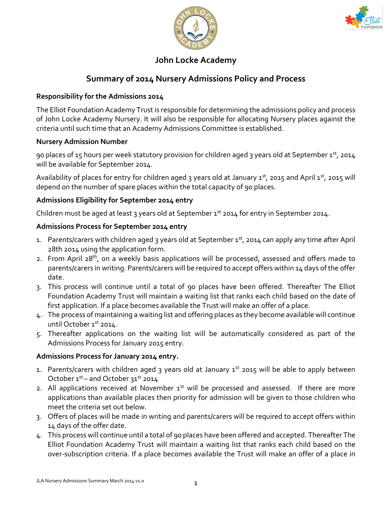



## **John Locke Academy**

# **Summary of 2014 Nursery Admissions Policy and Process**

#### **Responsibility for the Admissions 2014**

The Elliot Foundation Academy Trust is responsible for determining the admissions policy and process of John Locke Academy Nursery. It will also be responsible for allocating Nursery places against the criteria until such time that an Academy Admissions Committee is established.

#### **Nursery Admission Number**

90 places of 15 hours per week statutory provision for children aged 3 years old at September 1st, 2014 will be available for September 2014.

Availability of places for entry for children aged 3 years old at January 1st, 2015 and April 1st, 2015 will depend on the number of spare places within the total capacity of 90 places.

### **Admissions Eligibility for September 2014 entry**

Children must be aged at least 3 years old at September  $1^{st}$  2014 for entry in September 2014.

### **Admissions Process for September 2014 entry**

- 1. Parents/carers with children aged 3 years old at September 1<sup>st</sup>, 2014 can apply any time after April 28th 2014 using the application form.
- 2. From April 28<sup>th</sup>, on a weekly basis applications will be processed, assessed and offers made to parents/carers in writing. Parents/carers will be required to accept offers within 14 days of the offer date.
- 3. This process will continue until a total of 90 places have been offered. Thereafter The Elliot Foundation Academy Trust will maintain a waiting list that ranks each child based on the date of first application. If a place becomes available the Trust will make an offer of a place.
- 4. The process of maintaining a waiting list and offering places as they become available will continue until October 1<sup>st</sup> 2014.
- 5. Thereafter applications on the waiting list will be automatically considered as part of the Admissions Process for January 2015 entry.

### **Admissions Process for January 2014 entry.**

- 1. Parents/carers with children aged 3 years old at January  $1^{st}$  2015 will be able to apply between October  $1^{st}$  – and October  $31^{st}$  2014
- 2. All applications received at November  $1<sup>st</sup>$  will be processed and assessed. If there are more applications than available places then priority for admission will be given to those children who meet the criteria set out below.
- 3. Offers of places will be made in writing and parents/carers will be required to accept offers within 14 days of the offer date.
- 4. This process will continue until a total of 90 places have been offered and accepted. Thereafter The Elliot Foundation Academy Trust will maintain a waiting list that ranks each child based on the over-subscription criteria. If a place becomes available the Trust will make an offer of a place in